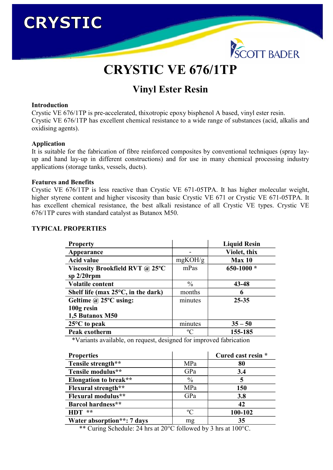# **CRYSTIC**



## CRYSTIC VE 676/1TP

### Vinyl Ester Resin

#### Introduction

Crystic VE 676/1TP is pre-accelerated, thixotropic epoxy bisphenol A based, vinyl ester resin. Crystic VE 676/1TP has excellent chemical resistance to a wide range of substances (acid, alkalis and oxidising agents).

#### Application

It is suitable for the fabrication of fibre reinforced composites by conventional techniques (spray layup and hand lay-up in different constructions) and for use in many chemical processing industry applications (storage tanks, vessels, ducts).

#### Features and Benefits

Crystic VE 676/1TP is less reactive than Crystic VE 671-05TPA. It has higher molecular weight, higher styrene content and higher viscosity than basic Crystic VE 671 or Crystic VE 671-05TPA. It has excellent chemical resistance, the best alkali resistance of all Crystic VE types. Crystic VE 676/1TP cures with standard catalyst as Butanox M50.

#### TYPICAL PROPERTIES

| <b>Property</b>                              |               | <b>Liquid Resin</b> |
|----------------------------------------------|---------------|---------------------|
| Appearance                                   |               | Violet, thix        |
| <b>Acid value</b>                            | mgKOH/g       | Max <sub>10</sub>   |
| Viscosity Brookfield RVT @ 25°C              | mPas          | 650-1000 $*$        |
| sp $2/20$ rpm                                |               |                     |
| <b>Volatile content</b>                      | $\frac{0}{0}$ | 43-48               |
| Shelf life (max $25^{\circ}$ C, in the dark) | months        | 6                   |
| Geltime $\omega$ 25°C using:                 | minutes       | $25 - 35$           |
| 100g resin                                   |               |                     |
| 1,5 Butanox M50                              |               |                     |
| $25^{\circ}$ C to peak                       | minutes       | $35 - 50$           |
| Peak exotherm                                | $\rm ^{o}C$   | 155-185             |

\*Variants available, on request, designed for improved fabrication

| <b>Properties</b>            |               | Cured cast resin * |
|------------------------------|---------------|--------------------|
| Tensile strength**           | MPa           | 80                 |
| Tensile modulus**            | GPa           | 3.4                |
| <b>Elongation to break**</b> | $\frac{0}{0}$ | 5                  |
| <b>Flexural strength**</b>   | MPa           | 150                |
| Flexural modulus**           | GPa           | 3.8                |
| Barcol hardness**            |               | 42                 |
| $HDT$ **                     | $\rm ^{o}C$   | 100-102            |
| Water absorption**: 7 days   | mg            | 35                 |

\*\* Curing Schedule: 24 hrs at 20°C followed by 3 hrs at 100°C.